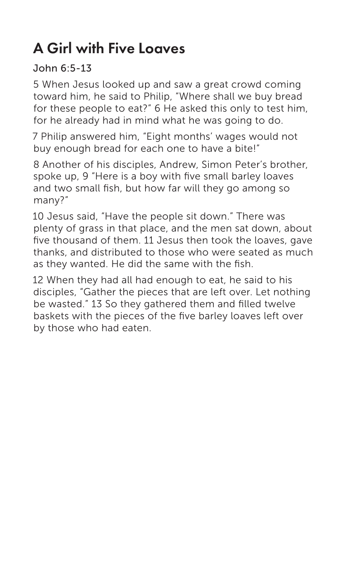## A Girl with Five Loaves

## John 6:5-13

5 When Jesus looked up and saw a great crowd coming toward him, he said to Philip, "Where shall we buy bread for these people to eat?" 6 He asked this only to test him, for he already had in mind what he was going to do.

7 Philip answered him, "Eight months' wages would not buy enough bread for each one to have a bite!"

8 Another of his disciples, Andrew, Simon Peter's brother, spoke up, 9 "Here is a boy with five small barley loaves and two small fish, but how far will they go among so many?"

10 Jesus said, "Have the people sit down." There was plenty of grass in that place, and the men sat down, about five thousand of them. 11 Jesus then took the loaves, gave thanks, and distributed to those who were seated as much as they wanted. He did the same with the fish.

12 When they had all had enough to eat, he said to his disciples, "Gather the pieces that are left over. Let nothing be wasted." 13 So they gathered them and filled twelve baskets with the pieces of the five barley loaves left over by those who had eaten.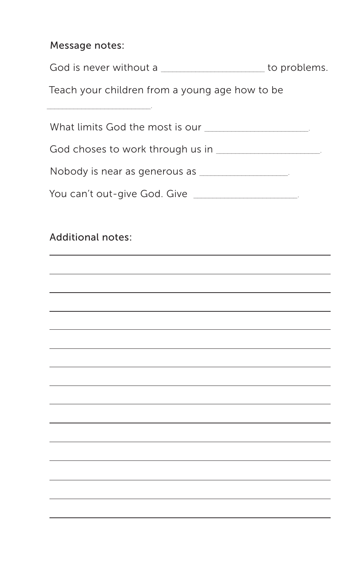## Message notes:

| God is never without a |  | to problems. |
|------------------------|--|--------------|
|------------------------|--|--------------|

Teach your children from a young age how to be

| What limits God the most is our ________________________ |
|----------------------------------------------------------|
| God choses to work through us in _____________________   |
| Nobody is near as generous as ___________________        |
| You can't out-give God. Give _____________________       |
|                                                          |
| <b>Additional notes:</b>                                 |
|                                                          |
|                                                          |
|                                                          |
|                                                          |
|                                                          |
|                                                          |
|                                                          |
|                                                          |
|                                                          |
|                                                          |
|                                                          |
|                                                          |
|                                                          |